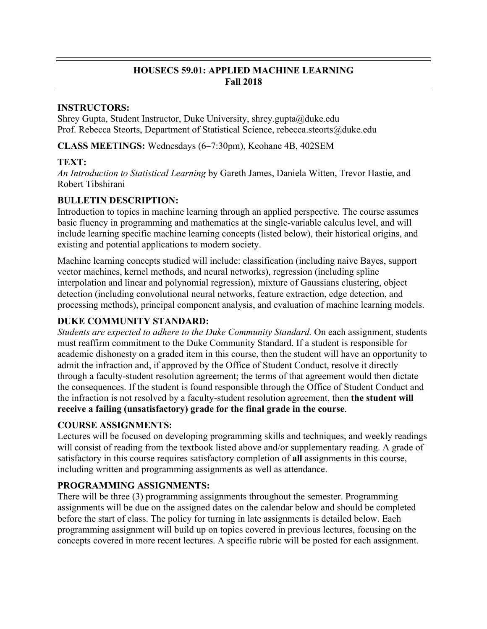## **HOUSECS 59.01: APPLIED MACHINE LEARNING Fall 2018**

### **INSTRUCTORS:**

Shrey Gupta, Student Instructor, Duke University, shrey.gupta@duke.edu Prof. Rebecca Steorts, Department of Statistical Science, rebecca.steorts@duke.edu

**CLASS MEETINGS:** Wednesdays (6–7:30pm), Keohane 4B, 402SEM

# **TEXT:**

*An Introduction to Statistical Learning* by Gareth James, Daniela Witten, Trevor Hastie, and Robert Tibshirani

# **BULLETIN DESCRIPTION:**

Introduction to topics in machine learning through an applied perspective. The course assumes basic fluency in programming and mathematics at the single-variable calculus level, and will include learning specific machine learning concepts (listed below), their historical origins, and existing and potential applications to modern society.

Machine learning concepts studied will include: classification (including naive Bayes, support vector machines, kernel methods, and neural networks), regression (including spline interpolation and linear and polynomial regression), mixture of Gaussians clustering, object detection (including convolutional neural networks, feature extraction, edge detection, and processing methods), principal component analysis, and evaluation of machine learning models.

# **DUKE COMMUNITY STANDARD:**

*Students are expected to adhere to the Duke Community Standard.* On each assignment, students must reaffirm commitment to the Duke Community Standard. If a student is responsible for academic dishonesty on a graded item in this course, then the student will have an opportunity to admit the infraction and, if approved by the Office of Student Conduct, resolve it directly through a faculty-student resolution agreement; the terms of that agreement would then dictate the consequences. If the student is found responsible through the Office of Student Conduct and the infraction is not resolved by a faculty-student resolution agreement, then **the student will receive a failing (unsatisfactory) grade for the final grade in the course**.

# **COURSE ASSIGNMENTS:**

Lectures will be focused on developing programming skills and techniques, and weekly readings will consist of reading from the textbook listed above and/or supplementary reading. A grade of satisfactory in this course requires satisfactory completion of **all** assignments in this course, including written and programming assignments as well as attendance.

# **PROGRAMMING ASSIGNMENTS:**

There will be three (3) programming assignments throughout the semester. Programming assignments will be due on the assigned dates on the calendar below and should be completed before the start of class. The policy for turning in late assignments is detailed below. Each programming assignment will build up on topics covered in previous lectures, focusing on the concepts covered in more recent lectures. A specific rubric will be posted for each assignment.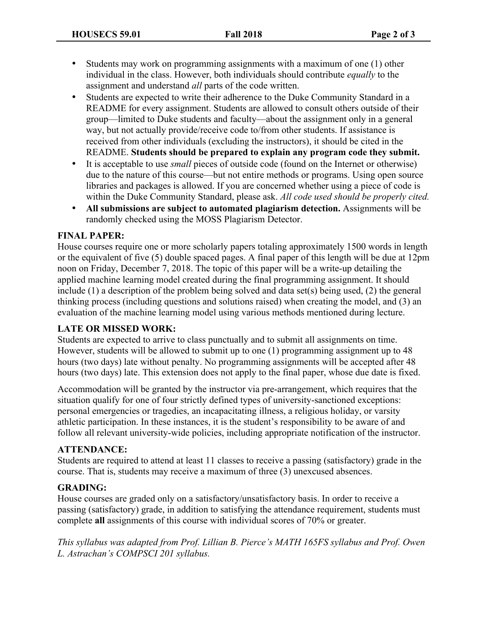- Students may work on programming assignments with a maximum of one (1) other individual in the class. However, both individuals should contribute *equally* to the assignment and understand *all* parts of the code written.
- Students are expected to write their adherence to the Duke Community Standard in a README for every assignment. Students are allowed to consult others outside of their group—limited to Duke students and faculty—about the assignment only in a general way, but not actually provide/receive code to/from other students. If assistance is received from other individuals (excluding the instructors), it should be cited in the README. **Students should be prepared to explain any program code they submit.**
- It is acceptable to use *small* pieces of outside code (found on the Internet or otherwise) due to the nature of this course—but not entire methods or programs. Using open source libraries and packages is allowed. If you are concerned whether using a piece of code is within the Duke Community Standard, please ask. *All code used should be properly cited.*
- **All submissions are subject to automated plagiarism detection.** Assignments will be randomly checked using the MOSS Plagiarism Detector.

### **FINAL PAPER:**

House courses require one or more scholarly papers totaling approximately 1500 words in length or the equivalent of five (5) double spaced pages. A final paper of this length will be due at 12pm noon on Friday, December 7, 2018. The topic of this paper will be a write-up detailing the applied machine learning model created during the final programming assignment. It should include (1) a description of the problem being solved and data set(s) being used, (2) the general thinking process (including questions and solutions raised) when creating the model, and (3) an evaluation of the machine learning model using various methods mentioned during lecture.

### **LATE OR MISSED WORK:**

Students are expected to arrive to class punctually and to submit all assignments on time. However, students will be allowed to submit up to one (1) programming assignment up to 48 hours (two days) late without penalty. No programming assignments will be accepted after 48 hours (two days) late. This extension does not apply to the final paper, whose due date is fixed.

Accommodation will be granted by the instructor via pre-arrangement, which requires that the situation qualify for one of four strictly defined types of university-sanctioned exceptions: personal emergencies or tragedies, an incapacitating illness, a religious holiday, or varsity athletic participation. In these instances, it is the student's responsibility to be aware of and follow all relevant university-wide policies, including appropriate notification of the instructor.

### **ATTENDANCE:**

Students are required to attend at least 11 classes to receive a passing (satisfactory) grade in the course. That is, students may receive a maximum of three (3) unexcused absences.

### **GRADING:**

House courses are graded only on a satisfactory/unsatisfactory basis. In order to receive a passing (satisfactory) grade, in addition to satisfying the attendance requirement, students must complete **all** assignments of this course with individual scores of 70% or greater.

*This syllabus was adapted from Prof. Lillian B. Pierce's MATH 165FS syllabus and Prof. Owen L. Astrachan's COMPSCI 201 syllabus.*